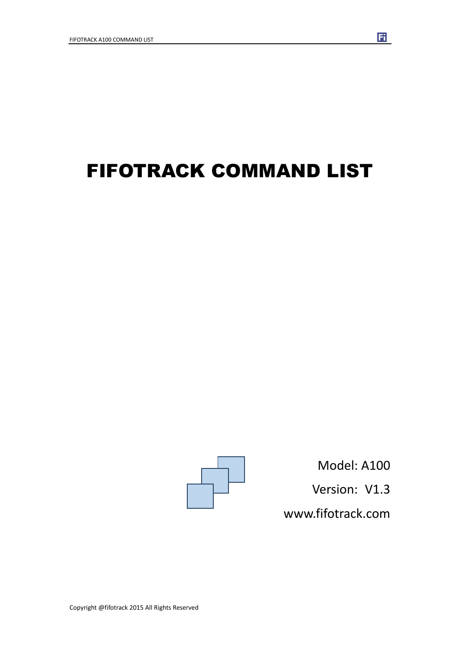# FIFOTRACK COMMAND LIST



Model: A100 Version: V1.3 www.fifotrack.com

F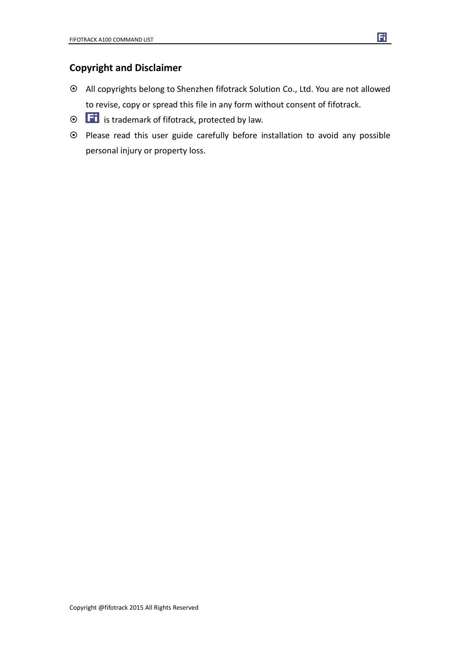#### **Copyright and Disclaimer**

- All copyrights belong to Shenzhen fifotrack Solution Co., Ltd. You are not allowed to revise, copy or spread this file in any form without consent of fifotrack.
- $\odot$   $\Box$  is trademark of fifotrack, protected by law.
- Please read this user guide carefully before installation to avoid any possible personal injury or property loss.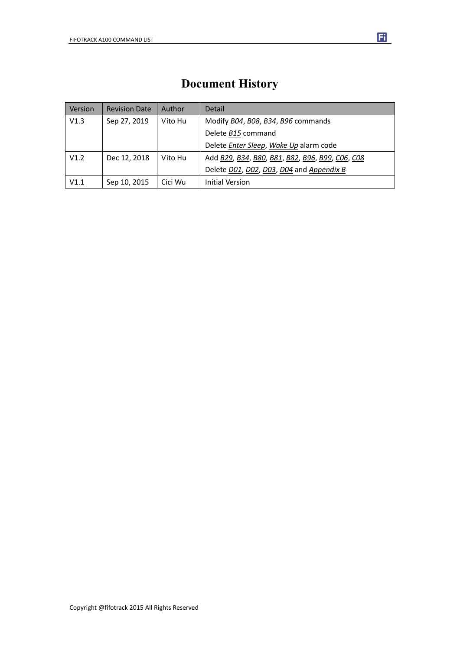### **Document History**

| Version | <b>Revision Date</b> | Author  | Detail                                          |
|---------|----------------------|---------|-------------------------------------------------|
| V1.3    | Sep 27, 2019         | Vito Hu | Modify B04, B08, B34, B96 commands              |
|         |                      |         | Delete B15 command                              |
|         |                      |         | Delete Enter Sleep, Wake Up alarm code          |
| V1.2    | Dec 12, 2018         | Vito Hu | Add B29, B34, B80, B81, B82, B96, B99, C06, C08 |
|         |                      |         | Delete D01, D02, D03, D04 and Appendix B        |
| V1.1    | Sep 10, 2015         | Cici Wu | <b>Initial Version</b>                          |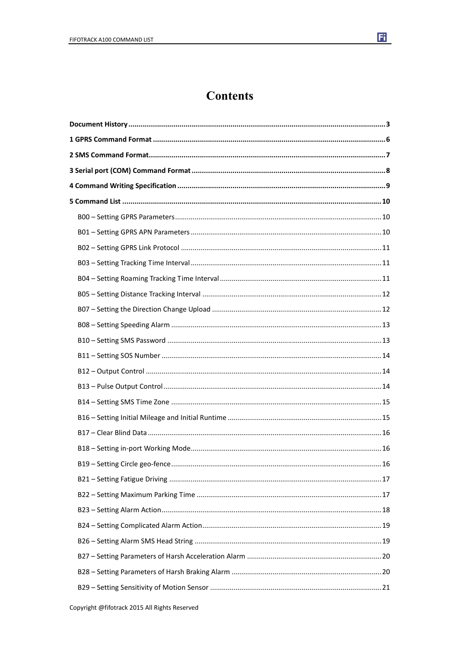

### **Contents**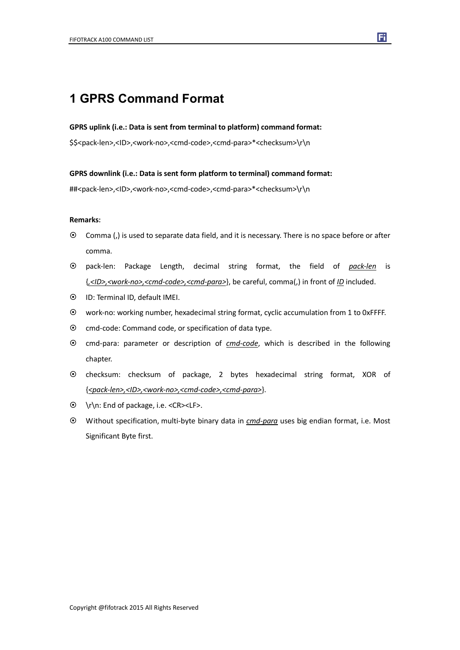### **1 GPRS Command Format**

#### **GPRS uplink (i.e.: Data is sent from terminal to platform) command format:**

\$\$<pack-len>,<ID>,<work-no>,<cmd-code>,<cmd-para>\*<checksum>\r\n

#### **GPRS downlink (i.e.: Data is sent form platform to terminal) command format:**

##<pack-len>,<ID>,<work-no>,<cmd-code>,<cmd-para>\*<checksum>\r\n

#### **Remarks:**

- Comma (,) is used to separate data field, and it is necessary. There is no space before or after comma.
- pack-len: Package Length, decimal string format, the field of *pack-len* is {*,<ID>,<work-no>,<cmd-code>,<cmd-para>*}, be careful, comma(,) in front of *ID* included.
- ID: Terminal ID, default IMEI.
- work-no: working number, hexadecimal string format, cyclic accumulation from 1 to 0xFFFF.
- $\odot$  cmd-code: Command code, or specification of data type.
- cmd-para: parameter or description of *cmd-code*, which is described in the following chapter.
- checksum: checksum of package, 2 bytes hexadecimal string format, XOR of {*<pack-len>,<ID>,<work-no>,<cmd-code>,<cmd-para>*}.
- \r\n: End of package, i.e. <CR><LF>.
- Without specification, multi-byte binary data in *cmd-para* uses big endian format, i.e. Most Significant Byte first.

Fi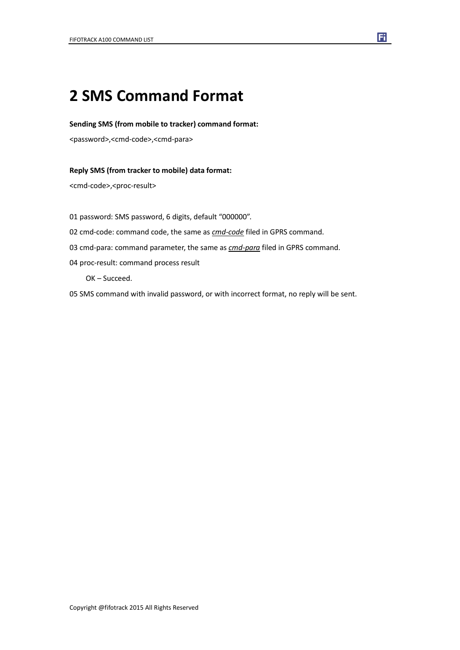## **2 SMS Command Format**

#### **Sending SMS (from mobile to tracker) command format:**

<password>,<cmd-code>,<cmd-para>

#### **Reply SMS (from tracker to mobile) data format:**

<cmd-code>,<proc-result>

01 password: SMS password, 6 digits, default "000000".

- 02 cmd-code: command code, the same as *cmd-code* filed in GPRS command.
- 03 cmd-para: command parameter, the same as *cmd-para* filed in GPRS command.
- 04 proc-result: command process result

OK – Succeed.

05 SMS command with invalid password, or with incorrect format, no reply will be sent.

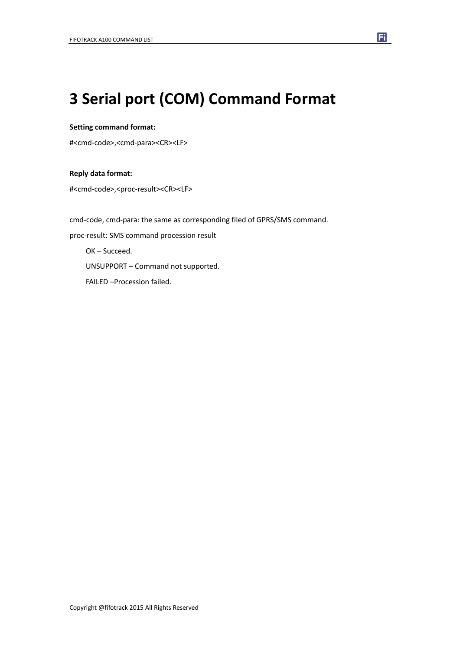## **3 Serial port (COM) Command Format**

#### **Setting command format:**

#<cmd-code>,<cmd-para><CR><LF>

#### **Reply data format:**

#<cmd-code>,<proc-result><CR><LF>

cmd-code, cmd-para: the same as corresponding filed of GPRS/SMS command. proc-result: SMS command procession result OK – Succeed. UNSUPPORT – Command not supported. FAILED –Procession failed.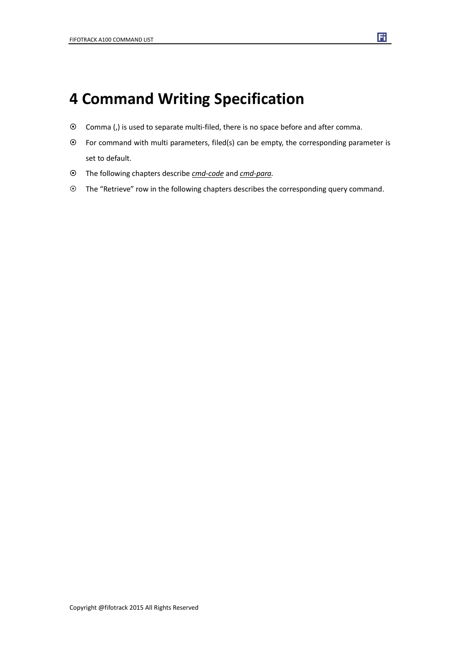### **4 Command Writing Specification**

- Comma (,) is used to separate multi-filed, there is no space before and after comma.
- For command with multi parameters, filed(s) can be empty, the corresponding parameter is set to default.
- The following chapters describe *cmd-code* and *cmd-para.*
- The "Retrieve" row in the following chapters describes the corresponding query command.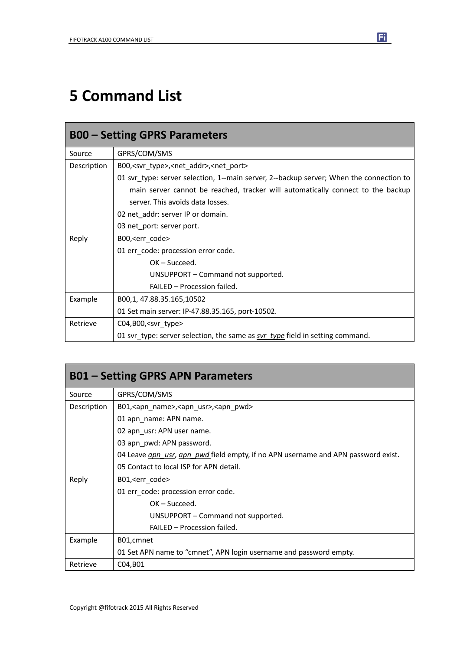## **5 Command List**

| <b>B00 – Setting GPRS Parameters</b> |                                                                                         |  |
|--------------------------------------|-----------------------------------------------------------------------------------------|--|
| Source                               | GPRS/COM/SMS                                                                            |  |
| Description                          | B00, <svr_type>,<net_addr>,<net_port></net_port></net_addr></svr_type>                  |  |
|                                      | 01 svr type: server selection, 1--main server, 2--backup server; When the connection to |  |
|                                      | main server cannot be reached, tracker will automatically connect to the backup         |  |
|                                      | server. This avoids data losses.                                                        |  |
|                                      | 02 net_addr: server IP or domain.                                                       |  |
|                                      | 03 net_port: server port.                                                               |  |
| Reply                                | B00, <err_code></err_code>                                                              |  |
|                                      | 01 err_code: procession error code.                                                     |  |
|                                      | $OK - Succed.$                                                                          |  |
|                                      | UNSUPPORT - Command not supported.                                                      |  |
|                                      | FAILED - Procession failed.                                                             |  |
| Example                              | B00,1, 47.88.35.165,10502                                                               |  |
|                                      | 01 Set main server: IP-47.88.35.165, port-10502.                                        |  |
| Retrieve                             | $CO4, B00,$ <svr type=""></svr>                                                         |  |
|                                      | 01 svr_type: server selection, the same as svr_type field in setting command.           |  |

| <b>B01 – Setting GPRS APN Parameters</b> |                                                                                   |  |
|------------------------------------------|-----------------------------------------------------------------------------------|--|
| Source                                   | GPRS/COM/SMS                                                                      |  |
| Description                              | B01, <apn_name>, <apn_usr>, <apn_pwd></apn_pwd></apn_usr></apn_name>              |  |
|                                          | 01 apn_name: APN name.                                                            |  |
|                                          | 02 apn_usr: APN user name.                                                        |  |
|                                          | 03 apn_pwd: APN password.                                                         |  |
|                                          | 04 Leave gpn usr, apn pwd field empty, if no APN username and APN password exist. |  |
|                                          | 05 Contact to local ISP for APN detail.                                           |  |
| Reply                                    | B01, <err_code></err_code>                                                        |  |
|                                          | 01 err code: procession error code.                                               |  |
|                                          | $OK - Succeed.$                                                                   |  |
|                                          | UNSUPPORT – Command not supported.                                                |  |
|                                          | FAILED - Procession failed.                                                       |  |
| Example                                  | B01, cmnet                                                                        |  |
|                                          | 01 Set APN name to "cmnet", APN login username and password empty.                |  |
| Retrieve                                 | C04, B01                                                                          |  |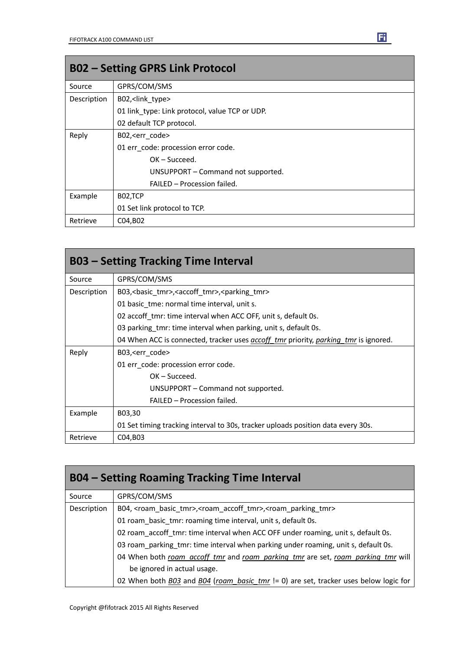| <b>B02 - Setting GPRS Link Protocol</b> |                                                |
|-----------------------------------------|------------------------------------------------|
| Source                                  | GPRS/COM/SMS                                   |
| Description                             | B02, <link type=""/>                           |
|                                         | 01 link type: Link protocol, value TCP or UDP. |
|                                         | 02 default TCP protocol.                       |
| Reply                                   | B02, <err code=""></err>                       |
|                                         | 01 err code: procession error code.            |
|                                         | $OK - Succeed.$                                |
|                                         | UNSUPPORT - Command not supported.             |
|                                         | FAILED - Procession failed.                    |
| Example                                 | B02,TCP                                        |
|                                         | 01 Set link protocol to TCP.                   |
| Retrieve                                | C04, B02                                       |

|             | <b>B03 - Setting Tracking Time Interval</b>                                                       |
|-------------|---------------------------------------------------------------------------------------------------|
| Source      | GPRS/COM/SMS                                                                                      |
| Description | B03, < basic_tmr>, < accoff_tmr>, < parking_tmr>                                                  |
|             | 01 basic tme: normal time interval, unit s.                                                       |
|             | 02 accoff_tmr: time interval when ACC OFF, unit s, default 0s.                                    |
|             | 03 parking tmr: time interval when parking, unit s, default 0s.                                   |
|             | 04 When ACC is connected, tracker uses <i>accoff tmr</i> priority, <i>parking tmr</i> is ignored. |
| Reply       | B03, <err code=""></err>                                                                          |
|             | 01 err code: procession error code.                                                               |
|             | OK-Succeed.                                                                                       |
|             | UNSUPPORT – Command not supported.                                                                |
|             | FAILED - Procession failed.                                                                       |
| Example     | B03,30                                                                                            |
|             | 01 Set timing tracking interval to 30s, tracker uploads position data every 30s.                  |
| Retrieve    | C04, B03                                                                                          |

| <b>B04 - Setting Roaming Tracking Time Interval</b> |                                                                                                                  |  |
|-----------------------------------------------------|------------------------------------------------------------------------------------------------------------------|--|
| Source                                              | GPRS/COM/SMS                                                                                                     |  |
| Description                                         | B04, <roam_basic_tmr>,<roam_accoff_tmr>,<roam_parking_tmr></roam_parking_tmr></roam_accoff_tmr></roam_basic_tmr> |  |
|                                                     | 01 roam_basic_tmr: roaming time interval, unit s, default 0s.                                                    |  |
|                                                     | 02 roam accoff tmr: time interval when ACC OFF under roaming, unit s, default 0s.                                |  |
|                                                     | 03 roam_parking_tmr: time interval when parking under roaming, unit s, default 0s.                               |  |
|                                                     | 04 When both roam accoff tmr and roam parking tmr are set, roam parking tmr will                                 |  |
|                                                     | be ignored in actual usage.                                                                                      |  |
|                                                     | 02 When both $B03$ and $B04$ (roam basic tmr $!=$ 0) are set, tracker uses below logic for                       |  |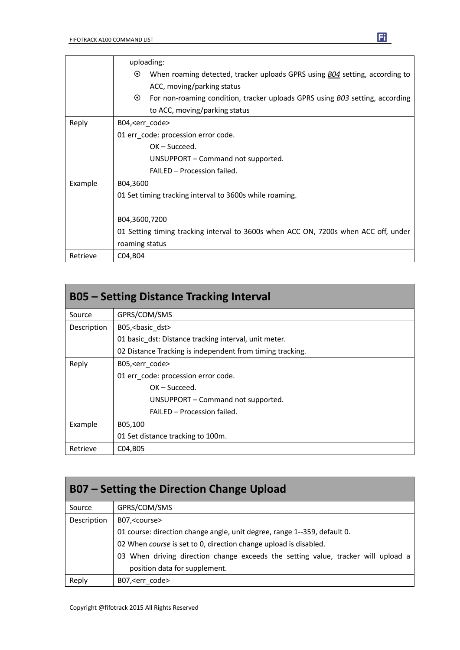|          | uploading:                                                                                     |
|----------|------------------------------------------------------------------------------------------------|
|          | $\odot$<br>When roaming detected, tracker uploads GPRS using <i>B04</i> setting, according to  |
|          | ACC, moving/parking status                                                                     |
|          | $\odot$<br>For non-roaming condition, tracker uploads GPRS using <b>BO3</b> setting, according |
|          | to ACC, moving/parking status                                                                  |
| Reply    | B04, <err code=""></err>                                                                       |
|          | 01 err code: procession error code.                                                            |
|          | $OK - Succeed.$                                                                                |
|          | UNSUPPORT – Command not supported.                                                             |
|          | FAILED - Procession failed.                                                                    |
| Example  | B04,3600                                                                                       |
|          | 01 Set timing tracking interval to 3600s while roaming.                                        |
|          |                                                                                                |
|          | B04,3600,7200                                                                                  |
|          | 01 Setting timing tracking interval to 3600s when ACC ON, 7200s when ACC off, under            |
|          | roaming status                                                                                 |
| Retrieve | C04, B04                                                                                       |

| <b>B05 - Setting Distance Tracking Interval</b> |                                                           |  |
|-------------------------------------------------|-----------------------------------------------------------|--|
| Source                                          | GPRS/COM/SMS                                              |  |
| Description                                     | B05, < basic dst>                                         |  |
|                                                 | 01 basic dst: Distance tracking interval, unit meter.     |  |
|                                                 | 02 Distance Tracking is independent from timing tracking. |  |
| Reply                                           | B05, <err code=""></err>                                  |  |
|                                                 | 01 err code: procession error code.                       |  |
|                                                 | $OK - Succeed.$                                           |  |
|                                                 | UNSUPPORT – Command not supported.                        |  |
|                                                 | FAILED - Procession failed.                               |  |
| Example                                         | B05,100                                                   |  |
|                                                 | 01 Set distance tracking to 100m.                         |  |
| Retrieve                                        | C04, B05                                                  |  |

| B07 – Setting the Direction Change Upload |                                                                                   |  |
|-------------------------------------------|-----------------------------------------------------------------------------------|--|
| Source                                    | GPRS/COM/SMS                                                                      |  |
| Description                               | B07, <course></course>                                                            |  |
|                                           | 01 course: direction change angle, unit degree, range 1--359, default 0.          |  |
|                                           | 02 When course is set to 0, direction change upload is disabled.                  |  |
|                                           | 03 When driving direction change exceeds the setting value, tracker will upload a |  |
|                                           | position data for supplement.                                                     |  |
| Reply                                     | B07, <err code=""></err>                                                          |  |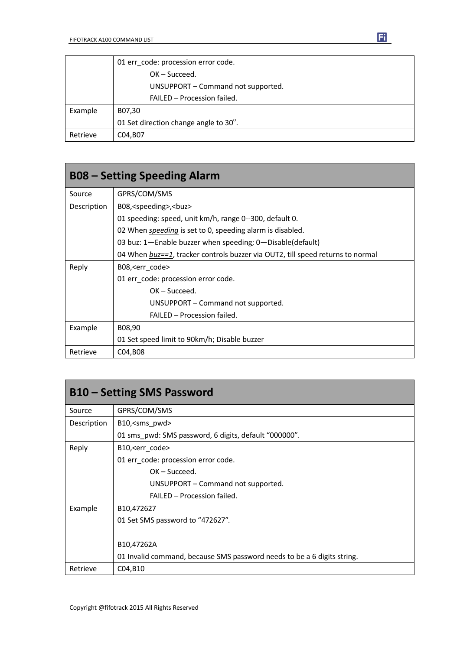|          | 01 err code: procession error code.   |
|----------|---------------------------------------|
|          | $OK - Succeed.$                       |
|          | UNSUPPORT - Command not supported.    |
|          | FAILED - Procession failed.           |
| Example  | B07,30                                |
|          | 01 Set direction change angle to 30°. |
| Retrieve | C04, B07                              |

| <b>B08 – Setting Speeding Alarm</b> |                                                                                |
|-------------------------------------|--------------------------------------------------------------------------------|
| Source                              | GPRS/COM/SMS                                                                   |
| Description                         | B08, <speeding>,<br/>buz&gt;</speeding>                                        |
|                                     | 01 speeding: speed, unit km/h, range 0--300, default 0.                        |
|                                     | 02 When <i>speeding</i> is set to 0, speeding alarm is disabled.               |
|                                     | 03 buz: 1-Enable buzzer when speeding; 0-Disable(default)                      |
|                                     | 04 When buz==1, tracker controls buzzer via OUT2, till speed returns to normal |
| Reply                               | B08, <err code=""></err>                                                       |
|                                     | 01 err code: procession error code.                                            |
|                                     | $OK - Succeed.$                                                                |
|                                     | UNSUPPORT – Command not supported.                                             |
|                                     | FAILED - Procession failed.                                                    |
| Example                             | B08,90                                                                         |
|                                     | 01 Set speed limit to 90km/h; Disable buzzer                                   |
| Retrieve                            | C04, B08                                                                       |

| <b>B10 – Setting SMS Password</b> |                                                                         |
|-----------------------------------|-------------------------------------------------------------------------|
| Source                            | GPRS/COM/SMS                                                            |
| Description                       | B10, <sms pwd=""></sms>                                                 |
|                                   | 01 sms_pwd: SMS password, 6 digits, default "000000".                   |
| Reply                             | B10, <err_code></err_code>                                              |
|                                   | 01 err_code: procession error code.                                     |
|                                   | $OK - Succeed.$                                                         |
|                                   | UNSUPPORT – Command not supported.                                      |
|                                   | FAILED - Procession failed.                                             |
| Example                           | B10,472627                                                              |
|                                   | 01 Set SMS password to "472627".                                        |
|                                   |                                                                         |
|                                   | B10,47262A                                                              |
|                                   | 01 Invalid command, because SMS password needs to be a 6 digits string. |
| Retrieve                          | C04, B10                                                                |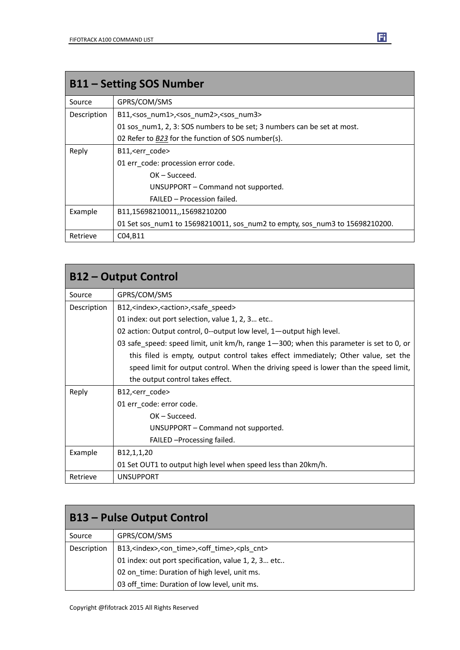| <b>B11 - Setting SOS Number</b> |                                                                             |
|---------------------------------|-----------------------------------------------------------------------------|
| Source                          | GPRS/COM/SMS                                                                |
| Description                     | B11, <sos num1="">,<sos num2="">,<sos num3=""></sos></sos></sos>            |
|                                 | 01 sos num1, 2, 3: SOS numbers to be set; 3 numbers can be set at most.     |
|                                 | 02 Refer to B23 for the function of SOS number(s).                          |
| Reply                           | B11, <err code=""></err>                                                    |
|                                 | 01 err code: procession error code.                                         |
|                                 | $OK - Succeed.$                                                             |
|                                 | UNSUPPORT - Command not supported.                                          |
|                                 | FAILED - Procession failed.                                                 |
| Example                         | B11,15698210011,,15698210200                                                |
|                                 | 01 Set sos_num1 to 15698210011, sos_num2 to empty, sos_num3 to 15698210200. |
| Retrieve                        | C04, B11                                                                    |

| <b>B12 - Output Control</b> |                                                                                         |
|-----------------------------|-----------------------------------------------------------------------------------------|
| Source                      | GPRS/COM/SMS                                                                            |
| Description                 | B12, <index>, <action>, <safe speed=""></safe></action></index>                         |
|                             | 01 index: out port selection, value 1, 2, 3 etc                                         |
|                             | 02 action: Output control, 0--output low level, 1-output high level.                    |
|                             | 03 safe_speed: speed limit, unit km/h, range 1-300; when this parameter is set to 0, or |
|                             | this filed is empty, output control takes effect immediately; Other value, set the      |
|                             | speed limit for output control. When the driving speed is lower than the speed limit,   |
|                             | the output control takes effect.                                                        |
| Reply                       | B12, <err code=""></err>                                                                |
|                             | 01 err_code: error code.                                                                |
|                             | $OK - Succeed.$                                                                         |
|                             | UNSUPPORT - Command not supported.                                                      |
|                             | FAILED - Processing failed.                                                             |
| Example                     | B12,1,1,20                                                                              |
|                             | 01 Set OUT1 to output high level when speed less than 20km/h.                           |
| Retrieve                    | <b>UNSUPPORT</b>                                                                        |

| <b>B13 - Pulse Output Control</b> |                                                                                    |
|-----------------------------------|------------------------------------------------------------------------------------|
| Source                            | GPRS/COM/SMS                                                                       |
| Description                       | B13, <index>,<on_time>,<off_time>,<pls_cnt></pls_cnt></off_time></on_time></index> |
|                                   | 01 index: out port specification, value 1, 2, 3 etc                                |
|                                   | 02 on_time: Duration of high level, unit ms.                                       |
|                                   | 03 off_time: Duration of low level, unit ms.                                       |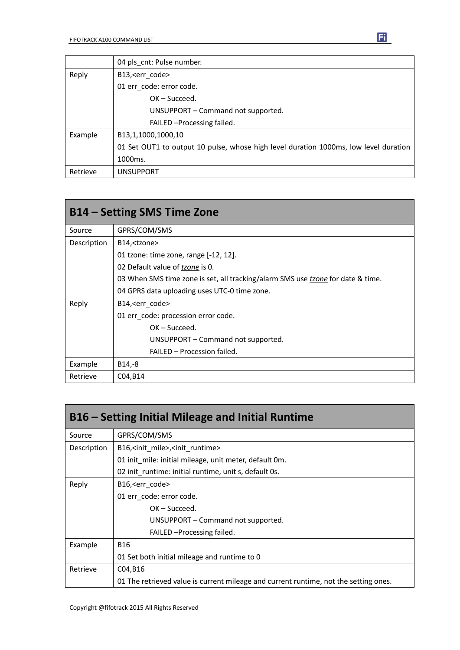|          | 04 pls_cnt: Pulse number.                                                            |
|----------|--------------------------------------------------------------------------------------|
| Reply    | B13, <err code=""></err>                                                             |
|          | 01 err code: error code.                                                             |
|          | $OK - Succeed.$                                                                      |
|          | UNSUPPORT - Command not supported.                                                   |
|          | FAILED - Processing failed.                                                          |
| Example  | B13,1,1000,1000,10                                                                   |
|          | 01 Set OUT1 to output 10 pulse, whose high level duration 1000ms, low level duration |
|          | 1000ms.                                                                              |
| Retrieve | <b>UNSUPPORT</b>                                                                     |

| B14 – Setting SMS Time Zone |                                                                                 |
|-----------------------------|---------------------------------------------------------------------------------|
| Source                      | GPRS/COM/SMS                                                                    |
| Description                 | B14, <tzone></tzone>                                                            |
|                             | 01 tzone: time zone, range $[-12, 12]$ .                                        |
|                             | 02 Default value of tzone is 0.                                                 |
|                             | 03 When SMS time zone is set, all tracking/alarm SMS use tzone for date & time. |
|                             | 04 GPRS data uploading uses UTC-0 time zone.                                    |
| Reply                       | B14, <err code=""></err>                                                        |
|                             | 01 err code: procession error code.                                             |
|                             | $OK - Succeed.$                                                                 |
|                             | UNSUPPORT – Command not supported.                                              |
|                             | FAILED - Procession failed.                                                     |
| Example                     | B14,-8                                                                          |
| Retrieve                    | C04, B14                                                                        |

| B16 – Setting Initial Mileage and Initial Runtime |                                                                                      |
|---------------------------------------------------|--------------------------------------------------------------------------------------|
| Source                                            | GPRS/COM/SMS                                                                         |
| Description                                       | B16, <init mile="">,<init runtime=""></init></init>                                  |
|                                                   | 01 init mile: initial mileage, unit meter, default 0m.                               |
|                                                   | 02 init runtime: initial runtime, unit s, default 0s.                                |
| Reply                                             | B16, <err_code></err_code>                                                           |
|                                                   | 01 err code: error code.                                                             |
|                                                   | $OK - Succeed.$                                                                      |
|                                                   | UNSUPPORT – Command not supported.                                                   |
|                                                   | FAILED - Processing failed.                                                          |
| Example                                           | <b>B16</b>                                                                           |
|                                                   | 01 Set both initial mileage and runtime to 0                                         |
| Retrieve                                          | C04, B16                                                                             |
|                                                   | 01 The retrieved value is current mileage and current runtime, not the setting ones. |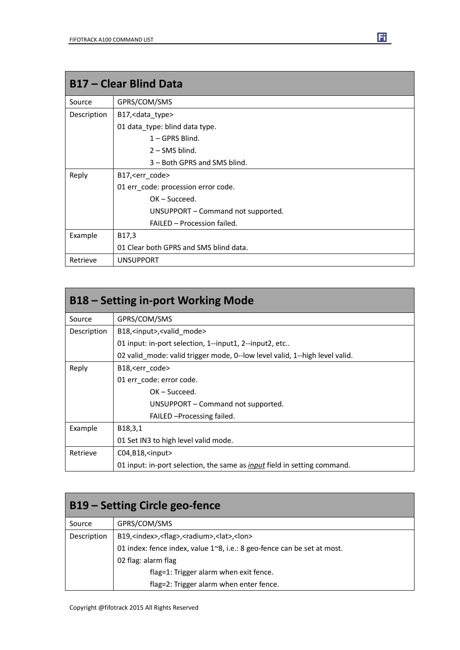| <b>B17 - Clear Blind Data</b> |                                        |
|-------------------------------|----------------------------------------|
| Source                        | GPRS/COM/SMS                           |
| Description                   | B17, < data_type>                      |
|                               | 01 data_type: blind data type.         |
|                               | $1 - GPRS$ Blind.                      |
|                               | $2 -$ SMS blind.                       |
|                               | 3 – Both GPRS and SMS blind.           |
| Reply                         | B17, <err code=""></err>               |
|                               | 01 err_code: procession error code.    |
|                               | $OK - Succeed.$                        |
|                               | UNSUPPORT – Command not supported.     |
|                               | FAILED - Procession failed.            |
| Example                       | B17,3                                  |
|                               | 01 Clear both GPRS and SMS blind data. |
| Retrieve                      | <b>UNSUPPORT</b>                       |

| <b>B18 – Setting in-port Working Mode</b> |                                                                                 |
|-------------------------------------------|---------------------------------------------------------------------------------|
| Source                                    | GPRS/COM/SMS                                                                    |
| Description                               | B18, <input/> , <valid mode=""></valid>                                         |
|                                           | 01 input: in-port selection, 1--input1, 2--input2, etc                          |
|                                           | 02 valid mode: valid trigger mode, 0--low level valid, 1--high level valid.     |
| Reply                                     | B18, <err code=""></err>                                                        |
|                                           | 01 err code: error code.                                                        |
|                                           | $OK - Succeed.$                                                                 |
|                                           | UNSUPPORT – Command not supported.                                              |
|                                           | FAILED - Processing failed.                                                     |
| Example                                   | B <sub>18</sub> , 3, 1                                                          |
|                                           | 01 Set IN3 to high level valid mode.                                            |
| Retrieve                                  | $CO4, B18,$ <input/>                                                            |
|                                           | 01 input: in-port selection, the same as <i>input</i> field in setting command. |

| B19 – Setting Circle geo-fence |                                                                              |
|--------------------------------|------------------------------------------------------------------------------|
| Source                         | GPRS/COM/SMS                                                                 |
| Description                    | B19, <index>,<flag>,<radium>,<lat>,<lon></lon></lat></radium></flag></index> |
|                                | 01 index: fence index, value 1~8, i.e.: 8 geo-fence can be set at most.      |
|                                | 02 flag: alarm flag                                                          |
|                                | flag=1: Trigger alarm when exit fence.                                       |
|                                | flag=2: Trigger alarm when enter fence.                                      |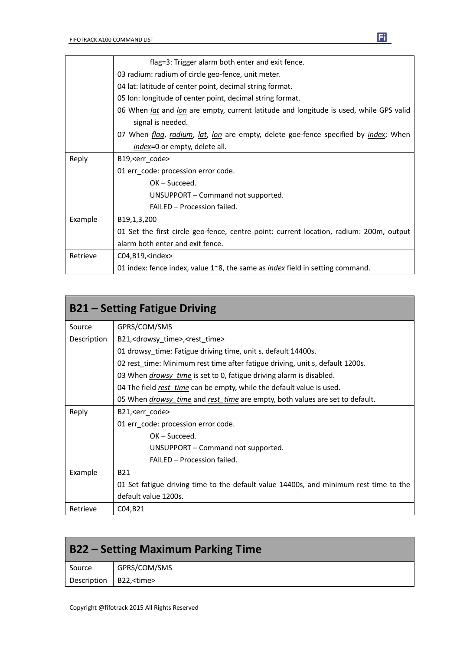|          | flag=3: Trigger alarm both enter and exit fence.                                                     |
|----------|------------------------------------------------------------------------------------------------------|
|          | 03 radium: radium of circle geo-fence, unit meter.                                                   |
|          | 04 lat: latitude of center point, decimal string format.                                             |
|          | 05 Ion: longitude of center point, decimal string format.                                            |
|          | 06 When <i>lat</i> and <i>lon</i> are empty, current latitude and longitude is used, while GPS valid |
|          | signal is needed.                                                                                    |
|          | 07 When <i>flag, radium, lat, lon</i> are empty, delete goe-fence specified by <i>index</i> ; When   |
|          | index=0 or empty, delete all.                                                                        |
| Reply    | B19, <err_code></err_code>                                                                           |
|          | 01 err_code: procession error code.                                                                  |
|          | $OK - Succeed.$                                                                                      |
|          | UNSUPPORT - Command not supported.                                                                   |
|          | FAILED - Procession failed.                                                                          |
| Example  | B <sub>19</sub> , 1, 3, 200                                                                          |
|          | 01 Set the first circle geo-fence, centre point: current location, radium: 200m, output              |
|          | alarm both enter and exit fence.                                                                     |
| Retrieve | C04,B19, <index></index>                                                                             |
|          | 01 index: fence index, value $1^{\sim}8$ , the same as <i>index</i> field in setting command.        |

| <b>B21 – Setting Fatigue Driving</b> |                                                                                            |
|--------------------------------------|--------------------------------------------------------------------------------------------|
| Source                               | GPRS/COM/SMS                                                                               |
| Description                          | B21, <drowsy_time>,<rest_time></rest_time></drowsy_time>                                   |
|                                      | 01 drowsy time: Fatigue driving time, unit s, default 14400s.                              |
|                                      | 02 rest_time: Minimum rest time after fatigue driving, unit s, default 1200s.              |
|                                      | 03 When <i>drowsy time</i> is set to 0, fatigue driving alarm is disabled.                 |
|                                      | 04 The field rest time can be empty, while the default value is used.                      |
|                                      | 05 When <i>drowsy_time</i> and <i>rest_time</i> are empty, both values are set to default. |
| Reply                                | B21, <err code=""></err>                                                                   |
|                                      | 01 err code: procession error code.                                                        |
|                                      | $OK - Succed.$                                                                             |
|                                      | UNSUPPORT – Command not supported.                                                         |
|                                      | <b>FAILED - Procession failed.</b>                                                         |
| Example                              | <b>B21</b>                                                                                 |
|                                      | 01 Set fatigue driving time to the default value 14400s, and minimum rest time to the      |
|                                      | default value 1200s.                                                                       |
| Retrieve                             | C04, B21                                                                                   |

| <b>B22 – Setting Maximum Parking Time</b> |              |
|-------------------------------------------|--------------|
| Source                                    | GPRS/COM/SMS |
| Description   B22, <time></time>          |              |

Т

٦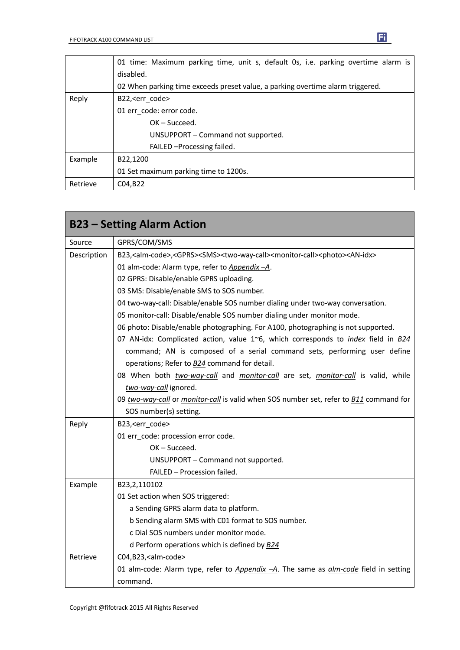|          | 01 time: Maximum parking time, unit s, default 0s, i.e. parking overtime alarm is |
|----------|-----------------------------------------------------------------------------------|
|          | disabled.                                                                         |
|          | 02 When parking time exceeds preset value, a parking overtime alarm triggered.    |
| Reply    | B22, <err code=""></err>                                                          |
|          | 01 err_code: error code.                                                          |
|          | $OK - Succeed.$                                                                   |
|          | UNSUPPORT – Command not supported.                                                |
|          | FAILED - Processing failed.                                                       |
| Example  | B22,1200                                                                          |
|          | 01 Set maximum parking time to 1200s.                                             |
| Retrieve | C04, B22                                                                          |

|             | <b>B23 - Setting Alarm Action</b>                                                                                                             |
|-------------|-----------------------------------------------------------------------------------------------------------------------------------------------|
| Source      | GPRS/COM/SMS                                                                                                                                  |
| Description | B23, <alm-code>,<gprs><sms><two-way-call><monitor-call><photo><an-idx></an-idx></photo></monitor-call></two-way-call></sms></gprs></alm-code> |
|             | 01 alm-code: Alarm type, refer to Appendix -A.                                                                                                |
|             | 02 GPRS: Disable/enable GPRS uploading.                                                                                                       |
|             | 03 SMS: Disable/enable SMS to SOS number.                                                                                                     |
|             | 04 two-way-call: Disable/enable SOS number dialing under two-way conversation.                                                                |
|             | 05 monitor-call: Disable/enable SOS number dialing under monitor mode.                                                                        |
|             | 06 photo: Disable/enable photographing. For A100, photographing is not supported.                                                             |
|             | 07 AN-idx: Complicated action, value 1~6, which corresponds to <i>index</i> field in B24                                                      |
|             | command; AN is composed of a serial command sets, performing user define                                                                      |
|             | operations; Refer to <b>B24</b> command for detail.                                                                                           |
|             | 08 When both two-way-call and monitor-call are set, monitor-call is valid, while                                                              |
|             | two-way-call ignored.                                                                                                                         |
|             | 09 two-way-call or monitor-call is valid when SOS number set, refer to B11 command for                                                        |
|             | SOS number(s) setting.                                                                                                                        |
| Reply       | B23, <err_code></err_code>                                                                                                                    |
|             | 01 err_code: procession error code.                                                                                                           |
|             | OK-Succeed.                                                                                                                                   |
|             | UNSUPPORT - Command not supported.                                                                                                            |
|             | FAILED - Procession failed.                                                                                                                   |
| Example     | B23,2,110102                                                                                                                                  |
|             | 01 Set action when SOS triggered:                                                                                                             |
|             | a Sending GPRS alarm data to platform.                                                                                                        |
|             | b Sending alarm SMS with C01 format to SOS number.                                                                                            |
|             | c Dial SOS numbers under monitor mode.                                                                                                        |
|             | d Perform operations which is defined by $B24$                                                                                                |
| Retrieve    | C04,B23, <alm-code></alm-code>                                                                                                                |
|             | 01 alm-code: Alarm type, refer to <i>Appendix -A</i> . The same as <i>alm-code</i> field in setting                                           |
|             | command.                                                                                                                                      |

 $\blacksquare$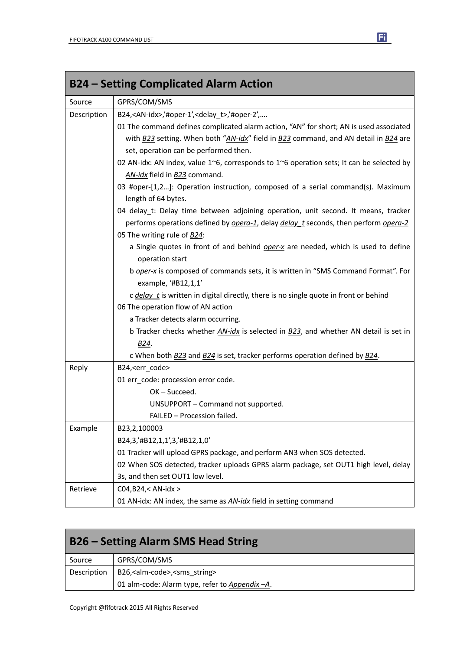| <b>B24 – Setting Complicated Alarm Action</b> |                                                                                                           |
|-----------------------------------------------|-----------------------------------------------------------------------------------------------------------|
| Source                                        | GPRS/COM/SMS                                                                                              |
| Description                                   | B24, <an-idx>,'#oper-1',<delay_t>,'#oper-2',</delay_t></an-idx>                                           |
|                                               | 01 The command defines complicated alarm action, "AN" for short; AN is used associated                    |
|                                               | with B23 setting. When both "AN-idx" field in B23 command, and AN detail in B24 are                       |
|                                               | set, operation can be performed then.                                                                     |
|                                               | 02 AN-idx: AN index, value 1~6, corresponds to 1~6 operation sets; It can be selected by                  |
|                                               | AN-idx field in B23 command.                                                                              |
|                                               | 03 #oper-[1,2]: Operation instruction, composed of a serial command(s). Maximum                           |
|                                               | length of 64 bytes.                                                                                       |
|                                               | 04 delay_t: Delay time between adjoining operation, unit second. It means, tracker                        |
|                                               | performs operations defined by <i>opera-1</i> , delay <i>delay</i> t seconds, then perform <i>opera-2</i> |
|                                               | 05 The writing rule of B24:                                                                               |
|                                               | a Single quotes in front of and behind oper-x are needed, which is used to define                         |
|                                               | operation start                                                                                           |
|                                               | b oper-x is composed of commands sets, it is written in "SMS Command Format". For                         |
|                                               | example, '#B12,1,1'                                                                                       |
|                                               | c delay t is written in digital directly, there is no single quote in front or behind                     |
|                                               | 06 The operation flow of AN action                                                                        |
|                                               | a Tracker detects alarm occurring.                                                                        |
|                                               | b Tracker checks whether AN-idx is selected in B23, and whether AN detail is set in                       |
|                                               | B24.                                                                                                      |
|                                               | c When both <b>B23</b> and <b>B24</b> is set, tracker performs operation defined by <b>B24</b> .          |
| Reply                                         | B24, <err_code></err_code>                                                                                |
|                                               | 01 err_code: procession error code.                                                                       |
|                                               | OK-Succeed.                                                                                               |
|                                               | UNSUPPORT - Command not supported.                                                                        |
|                                               | FAILED - Procession failed.                                                                               |
| Example                                       | B23,2,100003                                                                                              |
|                                               | B24,3,'#B12,1,1',3,'#B12,1,0'                                                                             |
|                                               | 01 Tracker will upload GPRS package, and perform AN3 when SOS detected.                                   |
|                                               | 02 When SOS detected, tracker uploads GPRS alarm package, set OUT1 high level, delay                      |
|                                               | 3s, and then set OUT1 low level.                                                                          |
| Retrieve                                      | C04, B24, < AN-idx >                                                                                      |
|                                               | 01 AN-idx: AN index, the same as <b>AN-idx</b> field in setting command                                   |

| <b>B26 – Setting Alarm SMS Head String</b> |                                                      |
|--------------------------------------------|------------------------------------------------------|
| Source                                     | GPRS/COM/SMS                                         |
| Description                                | B26, <alm-code>,<sms_string></sms_string></alm-code> |
|                                            | 01 alm-code: Alarm type, refer to Appendix -A.       |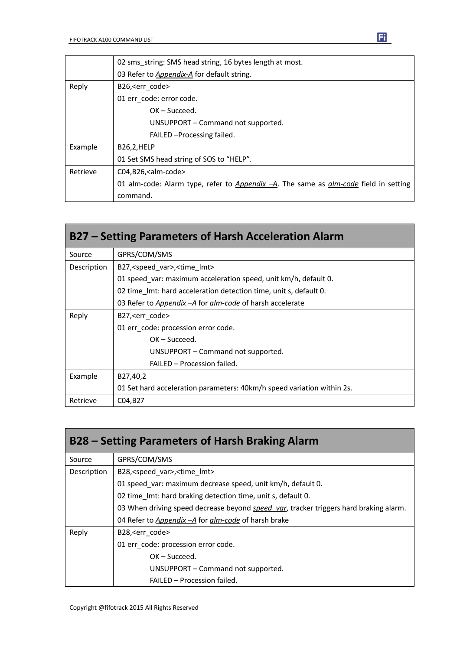|          | 02 sms string: SMS head string, 16 bytes length at most.                                |
|----------|-----------------------------------------------------------------------------------------|
|          | 03 Refer to Appendix-A for default string.                                              |
| Reply    | B26, <err code=""></err>                                                                |
|          | 01 err code: error code.                                                                |
|          | $OK - Succeed.$                                                                         |
|          | UNSUPPORT – Command not supported.                                                      |
|          | FAILED - Processing failed.                                                             |
| Example  | <b>B26,2,HELP</b>                                                                       |
|          | 01 Set SMS head string of SOS to "HELP".                                                |
| Retrieve | $CO4, B26,$ calm-code>                                                                  |
|          | 01 alm-code: Alarm type, refer to Appendix $-A$ . The same as alm-code field in setting |
|          | command.                                                                                |

| B27 – Setting Parameters of Harsh Acceleration Alarm |                                                                        |
|------------------------------------------------------|------------------------------------------------------------------------|
| Source                                               | GPRS/COM/SMS                                                           |
| Description                                          | B27, <speed_var>, <time_lmt></time_lmt></speed_var>                    |
|                                                      | 01 speed var: maximum acceleration speed, unit km/h, default 0.        |
|                                                      | 02 time Imt: hard acceleration detection time, unit s, default 0.      |
|                                                      | 03 Refer to Appendix - A for alm-code of harsh accelerate              |
| Reply                                                | B27, <err code=""></err>                                               |
|                                                      | 01 err code: procession error code.                                    |
|                                                      | $OK - Succeed.$                                                        |
|                                                      | UNSUPPORT – Command not supported.                                     |
|                                                      | FAILED - Procession failed.                                            |
| Example                                              | B27,40,2                                                               |
|                                                      | 01 Set hard acceleration parameters: 40km/h speed variation within 2s. |
| Retrieve                                             | C04, B27                                                               |

| B28 – Setting Parameters of Harsh Braking Alarm |                                                                                               |
|-------------------------------------------------|-----------------------------------------------------------------------------------------------|
| Source                                          | GPRS/COM/SMS                                                                                  |
| Description                                     | B28, <speed var="">, <time lmt=""></time></speed>                                             |
|                                                 | 01 speed var: maximum decrease speed, unit km/h, default 0.                                   |
|                                                 | 02 time Imt: hard braking detection time, unit s, default 0.                                  |
|                                                 | 03 When driving speed decrease beyond <i>speed var</i> , tracker triggers hard braking alarm. |
|                                                 | 04 Refer to Appendix - A for alm-code of harsh brake                                          |
| Reply                                           | B28, <err code=""></err>                                                                      |
|                                                 | 01 err code: procession error code.                                                           |
|                                                 | $OK - Succeed.$                                                                               |
|                                                 | UNSUPPORT - Command not supported.                                                            |
|                                                 | FAILED - Procession failed.                                                                   |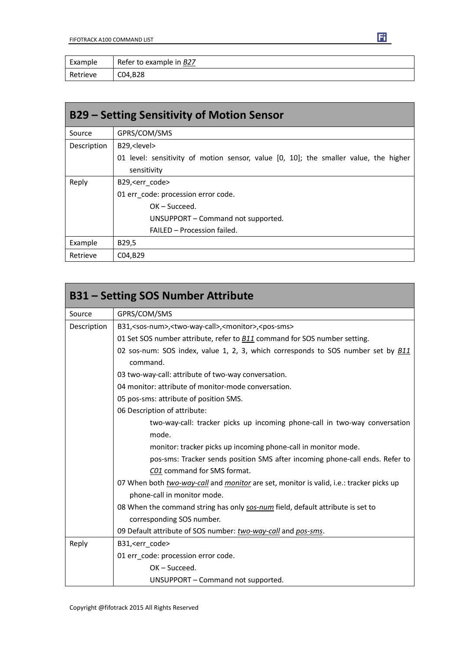| Example  | Refer to example in B27 |
|----------|-------------------------|
| Retrieve | C04, B28                |

| B29 – Setting Sensitivity of Motion Sensor |                                                                                      |
|--------------------------------------------|--------------------------------------------------------------------------------------|
| Source                                     | GPRS/COM/SMS                                                                         |
| Description                                | B29, <level></level>                                                                 |
|                                            | 01 level: sensitivity of motion sensor, value [0, 10]; the smaller value, the higher |
|                                            | sensitivity                                                                          |
| Reply                                      | B29, <err code=""></err>                                                             |
|                                            | 01 err code: procession error code.                                                  |
|                                            | $OK - Succeed.$                                                                      |
|                                            | UNSUPPORT - Command not supported.                                                   |
|                                            | FAILED - Procession failed.                                                          |
| Example                                    | B29,5                                                                                |
| Retrieve                                   | C04,B29                                                                              |

| <b>B31 - Setting SOS Number Attribute</b> |                                                                                                |  |
|-------------------------------------------|------------------------------------------------------------------------------------------------|--|
| Source                                    | GPRS/COM/SMS                                                                                   |  |
| Description                               | B31, <sos-num>,<two-way-call>,<monitor>,<pos-sms></pos-sms></monitor></two-way-call></sos-num> |  |
|                                           | 01 Set SOS number attribute, refer to <b>B11</b> command for SOS number setting.               |  |
|                                           | 02 sos-num: SOS index, value 1, 2, 3, which corresponds to SOS number set by B11<br>command.   |  |
|                                           | 03 two-way-call: attribute of two-way conversation.                                            |  |
|                                           | 04 monitor: attribute of monitor-mode conversation.                                            |  |
|                                           | 05 pos-sms: attribute of position SMS.                                                         |  |
|                                           | 06 Description of attribute:                                                                   |  |
|                                           | two-way-call: tracker picks up incoming phone-call in two-way conversation                     |  |
|                                           | mode.                                                                                          |  |
|                                           | monitor: tracker picks up incoming phone-call in monitor mode.                                 |  |
|                                           | pos-sms: Tracker sends position SMS after incoming phone-call ends. Refer to                   |  |
|                                           | C01 command for SMS format.                                                                    |  |
|                                           | 07 When both two-way-call and monitor are set, monitor is valid, i.e.: tracker picks up        |  |
|                                           | phone-call in monitor mode.                                                                    |  |
|                                           | 08 When the command string has only sos-num field, default attribute is set to                 |  |
|                                           | corresponding SOS number.                                                                      |  |
|                                           | 09 Default attribute of SOS number: two-way-call and pos-sms.                                  |  |
| Reply                                     | B31, <err code=""></err>                                                                       |  |
|                                           | 01 err code: procession error code.                                                            |  |
|                                           | OK-Succeed.                                                                                    |  |
|                                           | UNSUPPORT - Command not supported.                                                             |  |

Copyright @fifotrack 2015 All Rights Reserved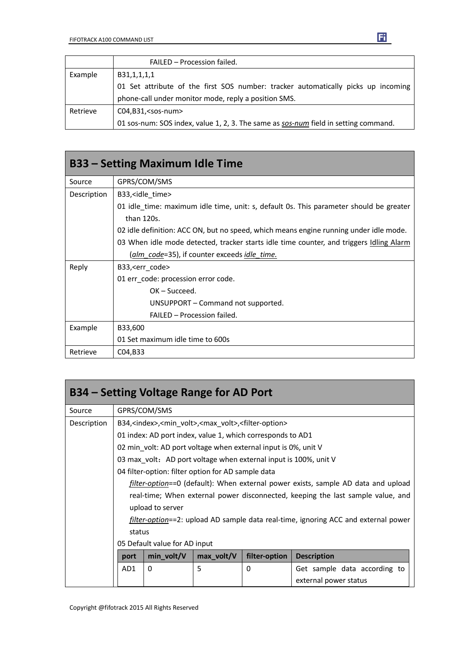|          | FAILED - Procession failed.                                                         |
|----------|-------------------------------------------------------------------------------------|
| Example  | B31,1,1,1,1                                                                         |
|          | 01 Set attribute of the first SOS number: tracker automatically picks up incoming   |
|          | phone-call under monitor mode, reply a position SMS.                                |
| Retrieve | $CO4, B31, <$ sos-num $>$                                                           |
|          | 01 sos-num: SOS index, value 1, 2, 3. The same as sos-num field in setting command. |

| <b>B33 – Setting Maximum Idle Time</b> |                                                                                         |  |  |
|----------------------------------------|-----------------------------------------------------------------------------------------|--|--|
| Source                                 | GPRS/COM/SMS                                                                            |  |  |
| Description                            | B33, <idle time=""></idle>                                                              |  |  |
|                                        | 01 idle time: maximum idle time, unit: s, default 0s. This parameter should be greater  |  |  |
|                                        | than 120s.                                                                              |  |  |
|                                        | 02 idle definition: ACC ON, but no speed, which means engine running under idle mode.   |  |  |
|                                        | 03 When idle mode detected, tracker starts idle time counter, and triggers Idling Alarm |  |  |
|                                        | (alm code=35), if counter exceeds idle time.                                            |  |  |
| Reply                                  | B33, <err_code></err_code>                                                              |  |  |
|                                        | 01 err_code: procession error code.                                                     |  |  |
|                                        | $OK - Succeed.$                                                                         |  |  |
|                                        | UNSUPPORT – Command not supported.                                                      |  |  |
|                                        | FAILED - Procession failed.                                                             |  |  |
| Example                                | B33,600                                                                                 |  |  |
|                                        | 01 Set maximum idle time to 600s                                                        |  |  |
| Retrieve                               | C04, B33                                                                                |  |  |

| B34 – Setting Voltage Range for AD Port                                                    |                                                                                                 |                  |            |               |                                                                                   |
|--------------------------------------------------------------------------------------------|-------------------------------------------------------------------------------------------------|------------------|------------|---------------|-----------------------------------------------------------------------------------|
| Source                                                                                     | GPRS/COM/SMS                                                                                    |                  |            |               |                                                                                   |
| Description                                                                                | B34, <index>, <min volt="">, <max volt="">, <filter-option></filter-option></max></min></index> |                  |            |               |                                                                                   |
| 01 index: AD port index, value 1, which corresponds to AD1                                 |                                                                                                 |                  |            |               |                                                                                   |
| 02 min volt: AD port voltage when external input is 0%, unit V                             |                                                                                                 |                  |            |               |                                                                                   |
|                                                                                            | 03 max volt: AD port voltage when external input is 100%, unit V                                |                  |            |               |                                                                                   |
| 04 filter-option: filter option for AD sample data                                         |                                                                                                 |                  |            |               |                                                                                   |
|                                                                                            |                                                                                                 |                  |            |               | filter-option==0 (default): When external power exists, sample AD data and upload |
|                                                                                            | real-time; When external power disconnected, keeping the last sample value, and                 |                  |            |               |                                                                                   |
|                                                                                            |                                                                                                 | upload to server |            |               |                                                                                   |
| <i>filter-option==2</i> : upload AD sample data real-time, ignoring ACC and external power |                                                                                                 |                  |            |               |                                                                                   |
|                                                                                            | status                                                                                          |                  |            |               |                                                                                   |
|                                                                                            | 05 Default value for AD input                                                                   |                  |            |               |                                                                                   |
|                                                                                            | port                                                                                            | min_volt/V       | max_volt/V | filter-option | <b>Description</b>                                                                |
|                                                                                            | AD1                                                                                             | 0                | 5          | 0             | Get sample data according to                                                      |
|                                                                                            |                                                                                                 |                  |            |               | external power status                                                             |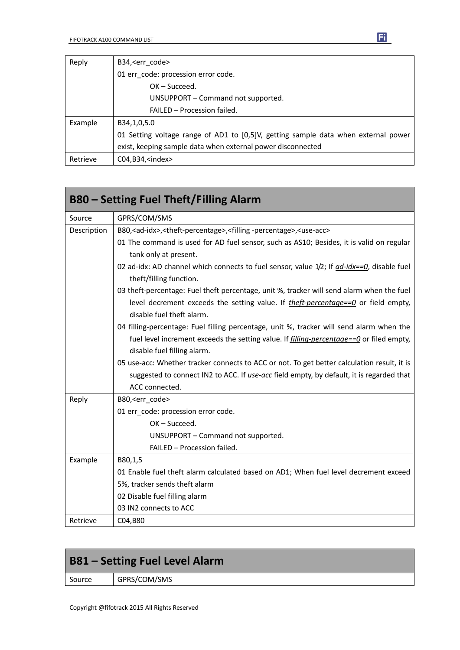| Reply    | B34, <err code=""></err>                                                           |
|----------|------------------------------------------------------------------------------------|
|          | 01 err_code: procession error code.                                                |
|          | $OK - Succeed.$                                                                    |
|          | UNSUPPORT – Command not supported.                                                 |
|          | FAILED - Procession failed.                                                        |
| Example  | B34,1,0,5.0                                                                        |
|          | 01 Setting voltage range of AD1 to [0,5]V, getting sample data when external power |
|          | exist, keeping sample data when external power disconnected                        |
| Retrieve | $CO4, B34, \text{sindex}$                                                          |

|             | <b>B80 – Setting Fuel Theft/Filling Alarm</b>                                                                                 |
|-------------|-------------------------------------------------------------------------------------------------------------------------------|
| Source      | GPRS/COM/SMS                                                                                                                  |
| Description | B80, <ad-idx>, <theft-percentage>, <filling-percentage>, <use-acc></use-acc></filling-percentage></theft-percentage></ad-idx> |
|             | 01 The command is used for AD fuel sensor, such as AS10; Besides, it is valid on regular<br>tank only at present.             |
|             | 02 ad-idx: AD channel which connects to fuel sensor, value 1/2; If ad-idx==0, disable fuel<br>theft/filling function.         |
|             | 03 theft-percentage: Fuel theft percentage, unit %, tracker will send alarm when the fuel                                     |
|             | level decrement exceeds the setting value. If <i>theft-percentage==0</i> or field empty,<br>disable fuel theft alarm.         |
|             | 04 filling-percentage: Fuel filling percentage, unit %, tracker will send alarm when the                                      |
|             | fuel level increment exceeds the setting value. If <i>filling-percentage==0</i> or filed empty,                               |
|             | disable fuel filling alarm.                                                                                                   |
|             | 05 use-acc: Whether tracker connects to ACC or not. To get better calculation result, it is                                   |
|             | suggested to connect IN2 to ACC. If use-acc field empty, by default, it is regarded that                                      |
|             | ACC connected.                                                                                                                |
| Reply       | B80, <err_code></err_code>                                                                                                    |
|             | 01 err_code: procession error code.                                                                                           |
|             | $OK - Succeed.$                                                                                                               |
|             | UNSUPPORT - Command not supported.                                                                                            |
|             | FAILED - Procession failed.                                                                                                   |
| Example     | B80,1,5                                                                                                                       |
|             | 01 Enable fuel theft alarm calculated based on AD1; When fuel level decrement exceed                                          |
|             | 5%, tracker sends theft alarm                                                                                                 |
|             | 02 Disable fuel filling alarm                                                                                                 |
|             | 03 IN2 connects to ACC                                                                                                        |
| Retrieve    | C04,B80                                                                                                                       |

|        | <b>B81 - Setting Fuel Level Alarm</b> |  |  |
|--------|---------------------------------------|--|--|
| Source | GPRS/COM/SMS                          |  |  |
|        |                                       |  |  |

r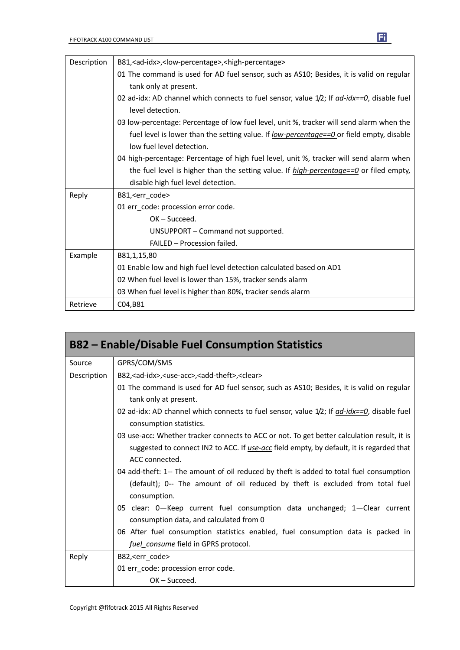| Description | B81, <ad-idx>,<low-percentage>,<high-percentage></high-percentage></low-percentage></ad-idx>     |
|-------------|--------------------------------------------------------------------------------------------------|
|             | 01 The command is used for AD fuel sensor, such as AS10; Besides, it is valid on regular         |
|             | tank only at present.                                                                            |
|             | 02 ad-idx: AD channel which connects to fuel sensor, value $1/2$ ; If $ad$ -idx==0, disable fuel |
|             | level detection.                                                                                 |
|             | 03 low-percentage: Percentage of low fuel level, unit %, tracker will send alarm when the        |
|             | fuel level is lower than the setting value. If low-percentage==0 or field empty, disable         |
|             | low fuel level detection.                                                                        |
|             | 04 high-percentage: Percentage of high fuel level, unit %, tracker will send alarm when          |
|             | the fuel level is higher than the setting value. If <i>high-percentage==0</i> or filed empty,    |
|             | disable high fuel level detection.                                                               |
| Reply       | B81, <err_code></err_code>                                                                       |
|             | 01 err_code: procession error code.                                                              |
|             | OK-Succeed.                                                                                      |
|             | UNSUPPORT - Command not supported.                                                               |
|             | FAILED - Procession failed.                                                                      |
| Example     | B81,1,15,80                                                                                      |
|             | 01 Enable low and high fuel level detection calculated based on AD1                              |
|             | 02 When fuel level is lower than 15%, tracker sends alarm                                        |
|             | 03 When fuel level is higher than 80%, tracker sends alarm                                       |
| Retrieve    | C04, B81                                                                                         |

|             | <b>B82 – Enable/Disable Fuel Consumption Statistics</b>                                                       |
|-------------|---------------------------------------------------------------------------------------------------------------|
| Source      | GPRS/COM/SMS                                                                                                  |
| Description | B82, < ad-idx>, < use-acc>, < add-theft>, < clear>                                                            |
|             | 01 The command is used for AD fuel sensor, such as AS10; Besides, it is valid on regular                      |
|             | tank only at present.                                                                                         |
|             | 02 ad-idx: AD channel which connects to fuel sensor, value $1/2$ ; If $\frac{ad - idx = -0}{ds}$ disable fuel |
|             | consumption statistics.                                                                                       |
|             | 03 use-acc: Whether tracker connects to ACC or not. To get better calculation result, it is                   |
|             | suggested to connect IN2 to ACC. If use-acc field empty, by default, it is regarded that                      |
|             | ACC connected.                                                                                                |
|             | 04 add-theft: 1-- The amount of oil reduced by theft is added to total fuel consumption                       |
|             | (default); 0-- The amount of oil reduced by theft is excluded from total fuel<br>consumption.                 |
|             | 05 clear: 0-Keep current fuel consumption data unchanged; 1-Clear current                                     |
|             | consumption data, and calculated from 0                                                                       |
|             | 06 After fuel consumption statistics enabled, fuel consumption data is packed in                              |
|             | fuel consume field in GPRS protocol.                                                                          |
| Reply       | B82, <err code=""></err>                                                                                      |
|             | 01 err_code: procession error code.                                                                           |
|             | $OK - Succeed.$                                                                                               |

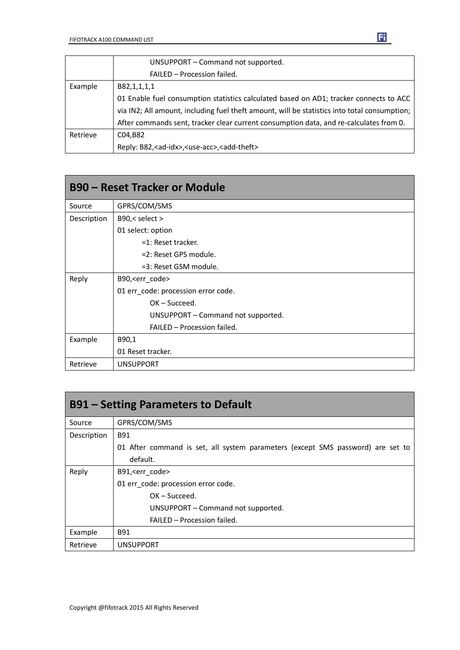|          | UNSUPPORT - Command not supported.                                                           |
|----------|----------------------------------------------------------------------------------------------|
|          | FAILED - Procession failed.                                                                  |
| Example  | B82,1,1,1,1                                                                                  |
|          | 01 Enable fuel consumption statistics calculated based on AD1; tracker connects to ACC       |
|          | via IN2; All amount, including fuel theft amount, will be statistics into total consumption; |
|          | After commands sent, tracker clear current consumption data, and re-calculates from 0.       |
| Retrieve | C04,B82                                                                                      |
|          | Reply: B82, <ad-idx>, <use-acc>, <add-theft></add-theft></use-acc></ad-idx>                  |

| <b>B90 – Reset Tracker or Module</b> |                                     |  |
|--------------------------------------|-------------------------------------|--|
| Source                               | GPRS/COM/SMS                        |  |
| Description                          | B90,< select >                      |  |
|                                      | 01 select: option                   |  |
|                                      | $=1$ : Reset tracker.               |  |
|                                      | =2: Reset GPS module.               |  |
|                                      | =3: Reset GSM module.               |  |
| Reply                                | B90, <err_code></err_code>          |  |
|                                      | 01 err_code: procession error code. |  |
|                                      | $OK - Succeed.$                     |  |
|                                      | UNSUPPORT – Command not supported.  |  |
|                                      | FAILED - Procession failed.         |  |
| Example                              | B90,1                               |  |
|                                      | 01 Reset tracker.                   |  |
| Retrieve                             | <b>UNSUPPORT</b>                    |  |

| <b>B91 – Setting Parameters to Default</b> |                                                                                 |  |  |
|--------------------------------------------|---------------------------------------------------------------------------------|--|--|
| Source                                     | GPRS/COM/SMS                                                                    |  |  |
| Description                                | <b>B91</b>                                                                      |  |  |
|                                            | 01 After command is set, all system parameters (except SMS password) are set to |  |  |
|                                            | default.                                                                        |  |  |
| Reply                                      | B91, <err code=""></err>                                                        |  |  |
|                                            | 01 err code: procession error code.                                             |  |  |
|                                            | $OK - Succeed.$                                                                 |  |  |
|                                            | UNSUPPORT - Command not supported.                                              |  |  |
|                                            | FAILED - Procession failed.                                                     |  |  |
| Example                                    | <b>B91</b>                                                                      |  |  |
| Retrieve                                   | <b>UNSUPPORT</b>                                                                |  |  |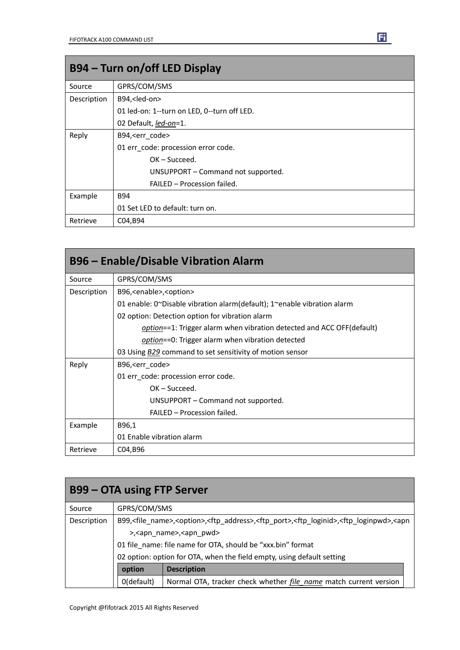| B94 – Turn on/off LED Display |                                             |  |
|-------------------------------|---------------------------------------------|--|
| Source                        | GPRS/COM/SMS                                |  |
| Description                   | B94, <led-on></led-on>                      |  |
|                               | 01 led-on: 1--turn on LED, 0--turn off LED. |  |
|                               | 02 Default, led-on=1.                       |  |
| Reply                         | B94, <err code=""></err>                    |  |
|                               | 01 err_code: procession error code.         |  |
|                               | $OK - Succeed.$                             |  |
|                               | UNSUPPORT - Command not supported.          |  |
|                               | FAILED - Procession failed.                 |  |
| Example                       | B94                                         |  |
|                               | 01 Set LED to default: turn on.             |  |
| Retrieve                      | C04, B94                                    |  |

| <b>B96 - Enable/Disable Vibration Alarm</b> |                                                                         |  |  |  |
|---------------------------------------------|-------------------------------------------------------------------------|--|--|--|
| Source                                      | GPRS/COM/SMS                                                            |  |  |  |
| Description                                 | B96, <enable>,<option></option></enable>                                |  |  |  |
|                                             | 01 enable: 0~Disable vibration alarm(default); 1~enable vibration alarm |  |  |  |
|                                             | 02 option: Detection option for vibration alarm                         |  |  |  |
|                                             | option==1: Trigger alarm when vibration detected and ACC OFF(default)   |  |  |  |
|                                             | option==0: Trigger alarm when vibration detected                        |  |  |  |
|                                             | 03 Using B29 command to set sensitivity of motion sensor                |  |  |  |
| Reply                                       | B96, < err code >                                                       |  |  |  |
|                                             | 01 err code: procession error code.                                     |  |  |  |
|                                             | $OK - Succeed.$                                                         |  |  |  |
|                                             | UNSUPPORT – Command not supported.                                      |  |  |  |
|                                             | FAILED - Procession failed.                                             |  |  |  |
| Example                                     | B96,1                                                                   |  |  |  |
|                                             | 01 Enable vibration alarm                                               |  |  |  |
| Retrieve                                    | C04,B96                                                                 |  |  |  |

| <b>B99 – OTA using FTP Server</b> |                                                                                                                                                                                |                                                                   |  |
|-----------------------------------|--------------------------------------------------------------------------------------------------------------------------------------------------------------------------------|-------------------------------------------------------------------|--|
| Source                            | GPRS/COM/SMS                                                                                                                                                                   |                                                                   |  |
| Description                       | B99, <file_name>,<option>,<ftp_address>,<ftp_port>,<ftp_loginid>,<ftp_loginpwd>,<apn< td=""></apn<></ftp_loginpwd></ftp_loginid></ftp_port></ftp_address></option></file_name> |                                                                   |  |
|                                   | >, <apn_name>,<apn_pwd></apn_pwd></apn_name>                                                                                                                                   |                                                                   |  |
|                                   | 01 file name: file name for OTA, should be "xxx.bin" format                                                                                                                    |                                                                   |  |
|                                   | 02 option: option for OTA, when the field empty, using default setting                                                                                                         |                                                                   |  |
|                                   | option                                                                                                                                                                         | <b>Description</b>                                                |  |
|                                   | 0(default)                                                                                                                                                                     | Normal OTA, tracker check whether file name match current version |  |

Fi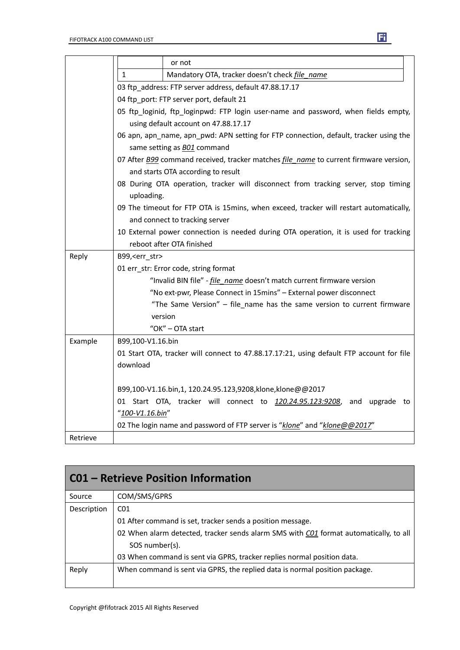|          | or not                                                                                                                      |                                                                                                  |  |  |
|----------|-----------------------------------------------------------------------------------------------------------------------------|--------------------------------------------------------------------------------------------------|--|--|
|          | 1<br>Mandatory OTA, tracker doesn't check file name                                                                         |                                                                                                  |  |  |
|          | 03 ftp address: FTP server address, default 47.88.17.17                                                                     |                                                                                                  |  |  |
|          | 04 ftp_port: FTP server port, default 21                                                                                    |                                                                                                  |  |  |
|          | 05 ftp_loginid, ftp_loginpwd: FTP login user-name and password, when fields empty,                                          |                                                                                                  |  |  |
|          |                                                                                                                             | using default account on 47.88.17.17                                                             |  |  |
|          | 06 apn, apn_name, apn_pwd: APN setting for FTP connection, default, tracker using the<br>same setting as <b>BO1</b> command |                                                                                                  |  |  |
|          | 07 After B99 command received, tracker matches file name to current firmware version,<br>and starts OTA according to result |                                                                                                  |  |  |
|          |                                                                                                                             | 08 During OTA operation, tracker will disconnect from tracking server, stop timing<br>uploading. |  |  |
|          |                                                                                                                             | 09 The timeout for FTP OTA is 15mins, when exceed, tracker will restart automatically,           |  |  |
|          |                                                                                                                             | and connect to tracking server                                                                   |  |  |
|          |                                                                                                                             | 10 External power connection is needed during OTA operation, it is used for tracking             |  |  |
|          |                                                                                                                             | reboot after OTA finished                                                                        |  |  |
| Reply    | B99, <err_str></err_str>                                                                                                    |                                                                                                  |  |  |
|          | 01 err_str: Error code, string format                                                                                       |                                                                                                  |  |  |
|          |                                                                                                                             | "Invalid BIN file" - <i>file name</i> doesn't match current firmware version                     |  |  |
|          |                                                                                                                             | "No ext-pwr, Please Connect in 15mins" - External power disconnect                               |  |  |
|          |                                                                                                                             | "The Same Version" - file_name has the same version to current firmware                          |  |  |
|          | version                                                                                                                     |                                                                                                  |  |  |
|          |                                                                                                                             | "OK" - OTA start                                                                                 |  |  |
| Example  | B99,100-V1.16.bin                                                                                                           |                                                                                                  |  |  |
|          | 01 Start OTA, tracker will connect to 47.88.17.17:21, using default FTP account for file                                    |                                                                                                  |  |  |
|          | download                                                                                                                    |                                                                                                  |  |  |
|          | B99,100-V1.16.bin,1, 120.24.95.123,9208,klone,klone@@2017                                                                   |                                                                                                  |  |  |
|          | 01 Start OTA, tracker will connect to 120.24.95.123:9208, and upgrade to                                                    |                                                                                                  |  |  |
|          | "100-V1.16.bin"                                                                                                             |                                                                                                  |  |  |
|          | 02 The login name and password of FTP server is "klone" and "klone@@2017"                                                   |                                                                                                  |  |  |
| Retrieve |                                                                                                                             |                                                                                                  |  |  |

| <b>CO1 - Retrieve Position Information</b> |                                                                                       |  |  |
|--------------------------------------------|---------------------------------------------------------------------------------------|--|--|
| Source                                     | COM/SMS/GPRS                                                                          |  |  |
| Description                                | CO <sub>1</sub>                                                                       |  |  |
|                                            | 01 After command is set, tracker sends a position message.                            |  |  |
|                                            | 02 When alarm detected, tracker sends alarm SMS with C01 format automatically, to all |  |  |
|                                            | SOS number(s).                                                                        |  |  |
|                                            | 03 When command is sent via GPRS, tracker replies normal position data.               |  |  |
| Reply                                      | When command is sent via GPRS, the replied data is normal position package.           |  |  |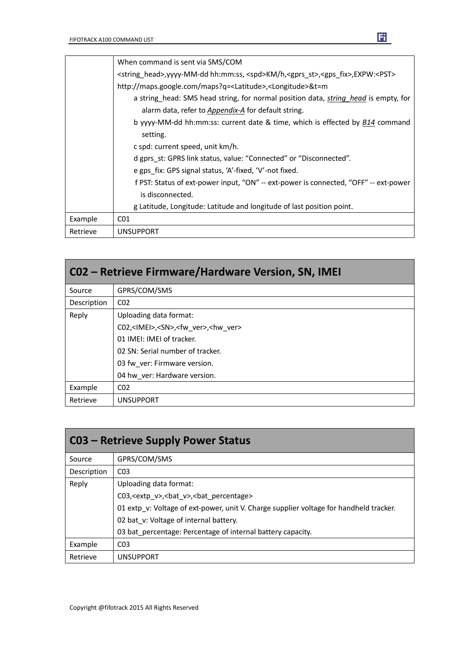

| CO2 – Retrieve Firmware/Hardware Version, SN, IMEI |                                                                |  |  |
|----------------------------------------------------|----------------------------------------------------------------|--|--|
| Source                                             | GPRS/COM/SMS                                                   |  |  |
| Description                                        | CO <sub>2</sub>                                                |  |  |
| Reply                                              | Uploading data format:                                         |  |  |
|                                                    | C02, <imei>,<sn>,<fw ver="">,<hw ver=""></hw></fw></sn></imei> |  |  |
|                                                    | 01 IMEI: IMEI of tracker.                                      |  |  |
|                                                    | 02 SN: Serial number of tracker.                               |  |  |
|                                                    | 03 fw ver: Firmware version.                                   |  |  |
|                                                    | 04 hw ver: Hardware version.                                   |  |  |
| Example                                            | CO <sub>2</sub>                                                |  |  |
| Retrieve                                           | <b>UNSUPPORT</b>                                               |  |  |

| <b>C03 - Retrieve Supply Power Status</b> |                                                                                        |  |  |
|-------------------------------------------|----------------------------------------------------------------------------------------|--|--|
| Source                                    | GPRS/COM/SMS                                                                           |  |  |
| Description                               | CO <sub>3</sub>                                                                        |  |  |
| Reply                                     | Uploading data format:                                                                 |  |  |
|                                           | C03, <extp v="">, <br/>bat v&gt;, <br/>bat percentage&gt;</extp>                       |  |  |
|                                           | 01 extp v: Voltage of ext-power, unit V. Charge supplier voltage for handheld tracker. |  |  |
|                                           | 02 bat_v: Voltage of internal battery.                                                 |  |  |
|                                           | 03 bat_percentage: Percentage of internal battery capacity.                            |  |  |
| Example                                   | C <sub>03</sub>                                                                        |  |  |
| Retrieve                                  | <b>UNSUPPORT</b>                                                                       |  |  |

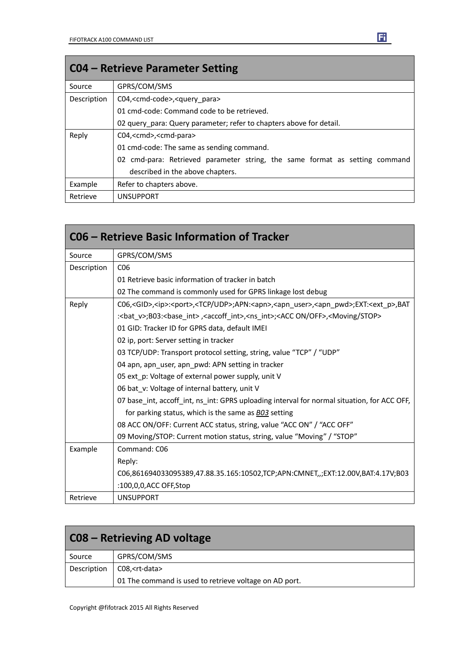| <b>CO4 – Retrieve Parameter Setting</b> |                                                                             |  |  |
|-----------------------------------------|-----------------------------------------------------------------------------|--|--|
| Source                                  | GPRS/COM/SMS                                                                |  |  |
| Description                             | C04, <cmd-code>,<query para=""></query></cmd-code>                          |  |  |
|                                         | 01 cmd-code: Command code to be retrieved.                                  |  |  |
|                                         | 02 query para: Query parameter; refer to chapters above for detail.         |  |  |
| Reply                                   | C04, <cmd>,<cmd-para></cmd-para></cmd>                                      |  |  |
|                                         | 01 cmd-code: The same as sending command.                                   |  |  |
|                                         | 02 cmd-para: Retrieved parameter string, the same format as setting command |  |  |
|                                         | described in the above chapters.                                            |  |  |
| Example                                 | Refer to chapters above.                                                    |  |  |
| Retrieve                                | <b>UNSUPPORT</b>                                                            |  |  |

| C06 – Retrieve Basic Information of Tracker |                                                                                                                                             |  |  |  |
|---------------------------------------------|---------------------------------------------------------------------------------------------------------------------------------------------|--|--|--|
| Source                                      | GPRS/COM/SMS                                                                                                                                |  |  |  |
| Description                                 | C <sub>06</sub>                                                                                                                             |  |  |  |
|                                             | 01 Retrieve basic information of tracker in batch                                                                                           |  |  |  |
|                                             | 02 The command is commonly used for GPRS linkage lost debug                                                                                 |  |  |  |
| Reply                                       | C06, <gid>,<ip>:<port>,<tcp udp="">;APN:<apn>,<apn user="">,<apn pwd="">;EXT:<ext p="">,BAT</ext></apn></apn></apn></tcp></port></ip></gid> |  |  |  |
|                                             | : <bat v="">;B03:<base int=""/>,<accoff int="">,<ns int="">;<acc off="" on="">,<moving stop=""></moving></acc></ns></accoff></bat>          |  |  |  |
|                                             | 01 GID: Tracker ID for GPRS data, default IMEI                                                                                              |  |  |  |
|                                             | 02 ip, port: Server setting in tracker                                                                                                      |  |  |  |
|                                             | 03 TCP/UDP: Transport protocol setting, string, value "TCP" / "UDP"                                                                         |  |  |  |
|                                             | 04 apn, apn_user, apn_pwd: APN setting in tracker                                                                                           |  |  |  |
|                                             | 05 ext p: Voltage of external power supply, unit V                                                                                          |  |  |  |
|                                             | 06 bat v: Voltage of internal battery, unit V                                                                                               |  |  |  |
|                                             | 07 base_int, accoff_int, ns_int: GPRS uploading interval for normal situation, for ACC OFF,                                                 |  |  |  |
|                                             | for parking status, which is the same as B03 setting                                                                                        |  |  |  |
|                                             | 08 ACC ON/OFF: Current ACC status, string, value "ACC ON" / "ACC OFF"                                                                       |  |  |  |
|                                             | 09 Moving/STOP: Current motion status, string, value "Moving" / "STOP"                                                                      |  |  |  |
| Example                                     | Command: C06                                                                                                                                |  |  |  |
|                                             | Reply:                                                                                                                                      |  |  |  |
|                                             | C06,861694033095389,47.88.35.165:10502,TCP;APN:CMNET,,;EXT:12.00V,BAT:4.17V;B03                                                             |  |  |  |
|                                             | :100,0,0,ACC OFF,Stop                                                                                                                       |  |  |  |
| Retrieve                                    | <b>UNSUPPORT</b>                                                                                                                            |  |  |  |

| C08 – Retrieving AD voltage |                                                        |  |
|-----------------------------|--------------------------------------------------------|--|
| Source                      | GPRS/COM/SMS                                           |  |
| Description                 | C08, < rt-data>                                        |  |
|                             | 01 The command is used to retrieve voltage on AD port. |  |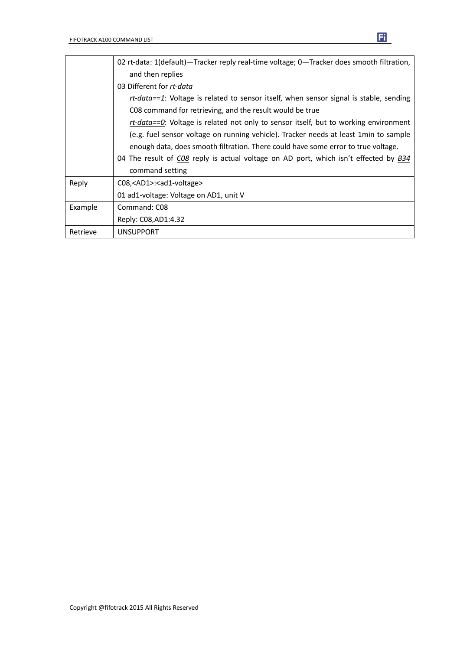|          | 02 rt-data: 1(default) - Tracker reply real-time voltage; 0 - Tracker does smooth filtration, |  |  |  |
|----------|-----------------------------------------------------------------------------------------------|--|--|--|
|          | and then replies                                                                              |  |  |  |
|          | 03 Different for rt-data                                                                      |  |  |  |
|          | $rt$ -data==1: Voltage is related to sensor itself, when sensor signal is stable, sending     |  |  |  |
|          | CO8 command for retrieving, and the result would be true                                      |  |  |  |
|          | <i>rt-data==0</i> : Voltage is related not only to sensor itself, but to working environment  |  |  |  |
|          | (e.g. fuel sensor voltage on running vehicle). Tracker needs at least 1min to sample          |  |  |  |
|          | enough data, does smooth filtration. There could have some error to true voltage.             |  |  |  |
|          | 04 The result of CO8 reply is actual voltage on AD port, which isn't effected by B34          |  |  |  |
|          | command setting                                                                               |  |  |  |
| Reply    | C08, <ad1>:<ad1-voltage></ad1-voltage></ad1>                                                  |  |  |  |
|          | 01 ad1-voltage: Voltage on AD1, unit V                                                        |  |  |  |
| Example  | Command: C08                                                                                  |  |  |  |
|          | Reply: C08, AD1: 4.32                                                                         |  |  |  |
| Retrieve | <b>UNSUPPORT</b>                                                                              |  |  |  |